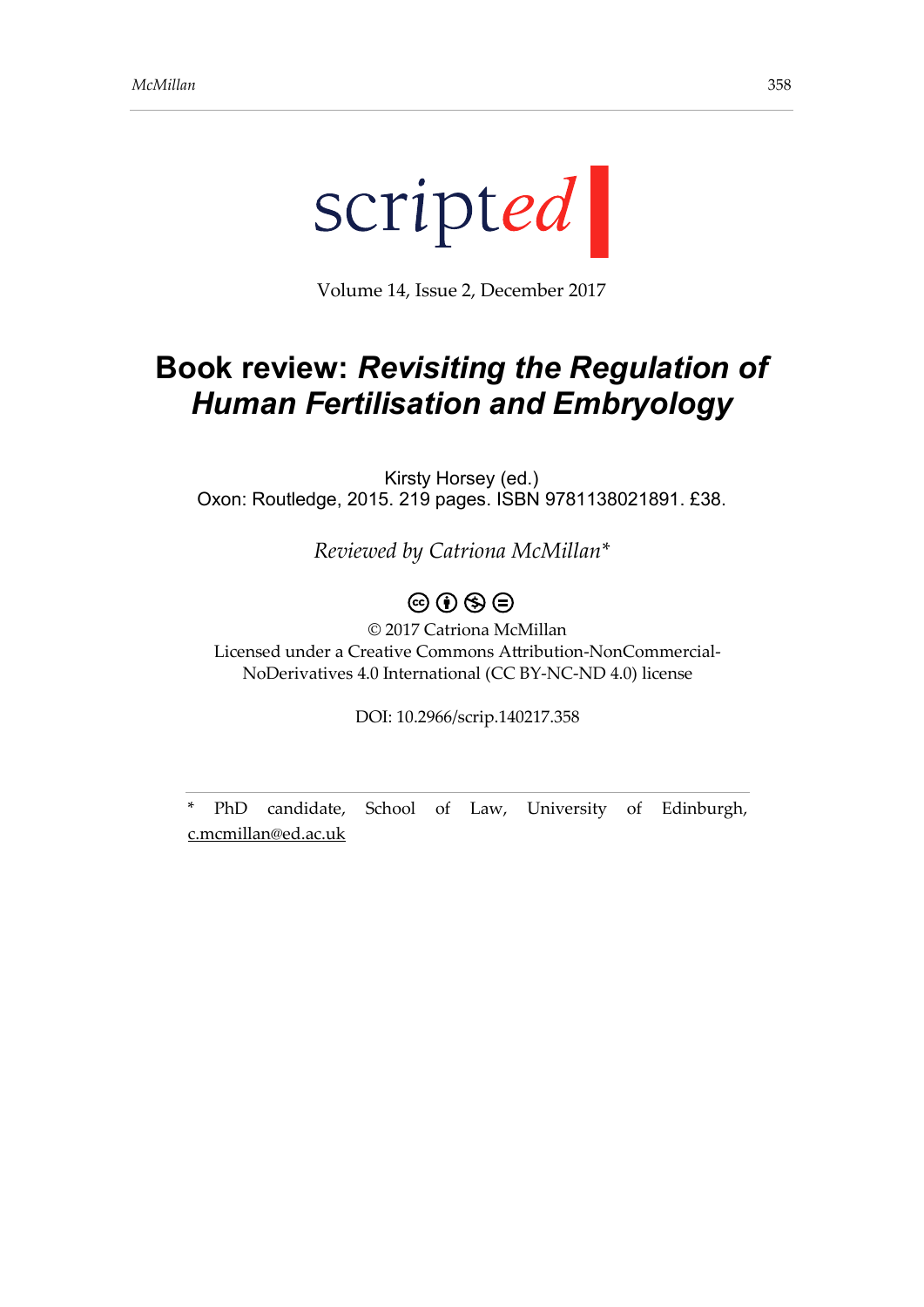

Volume 14, Issue 2, December 2017

## **Book review:** *Revisiting the Regulation of Human Fertilisation and Embryology*

Kirsty Horsey (ed.) Oxon: Routledge, 2015. 219 pages. ISBN 9781138021891. £38.

*Reviewed by Catriona McMillan\**

## $\circledcirc$   $\circledcirc$   $\circledcirc$

© 2017 Catriona McMillan Licensed under a Creative Commons Attribution-NonCommercial-NoDerivatives 4.0 International (CC BY-NC-ND 4.0) license

DOI: 10.2966/scrip.140217.358

\* PhD candidate, School of Law, University of Edinburgh, [c.mcmillan@ed.ac.uk](mailto:c.mcmillan@ed.ac.uk)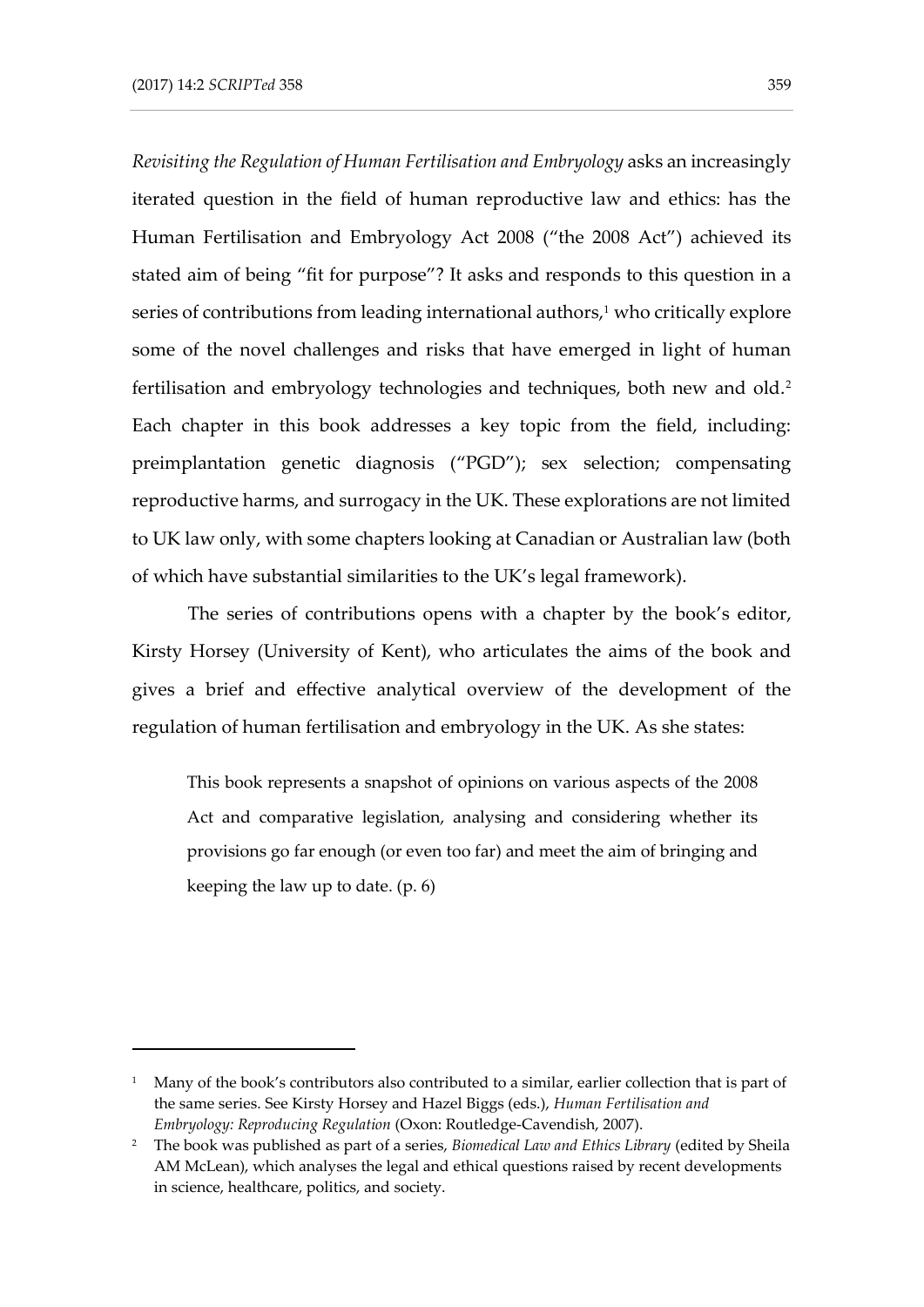-

*Revisiting the Regulation of Human Fertilisation and Embryology* asks an increasingly iterated question in the field of human reproductive law and ethics: has the Human Fertilisation and Embryology Act 2008 ("the 2008 Act") achieved its stated aim of being "fit for purpose"? It asks and responds to this question in a series of contributions from leading international authors, $1$  who critically explore some of the novel challenges and risks that have emerged in light of human fertilisation and embryology technologies and techniques, both new and old.<sup>2</sup> Each chapter in this book addresses a key topic from the field, including: preimplantation genetic diagnosis ("PGD"); sex selection; compensating reproductive harms, and surrogacy in the UK. These explorations are not limited to UK law only, with some chapters looking at Canadian or Australian law (both of which have substantial similarities to the UK's legal framework).

The series of contributions opens with a chapter by the book's editor, Kirsty Horsey (University of Kent), who articulates the aims of the book and gives a brief and effective analytical overview of the development of the regulation of human fertilisation and embryology in the UK. As she states:

This book represents a snapshot of opinions on various aspects of the 2008 Act and comparative legislation, analysing and considering whether its provisions go far enough (or even too far) and meet the aim of bringing and keeping the law up to date. (p. 6)

<sup>&</sup>lt;sup>1</sup> Many of the book's contributors also contributed to a similar, earlier collection that is part of the same series. See Kirsty Horsey and Hazel Biggs (eds.), *Human Fertilisation and Embryology: Reproducing Regulation* (Oxon: Routledge-Cavendish, 2007).

<sup>2</sup> The book was published as part of a series, *Biomedical Law and Ethics Library* (edited by Sheila AM McLean), which analyses the legal and ethical questions raised by recent developments in science, healthcare, politics, and society.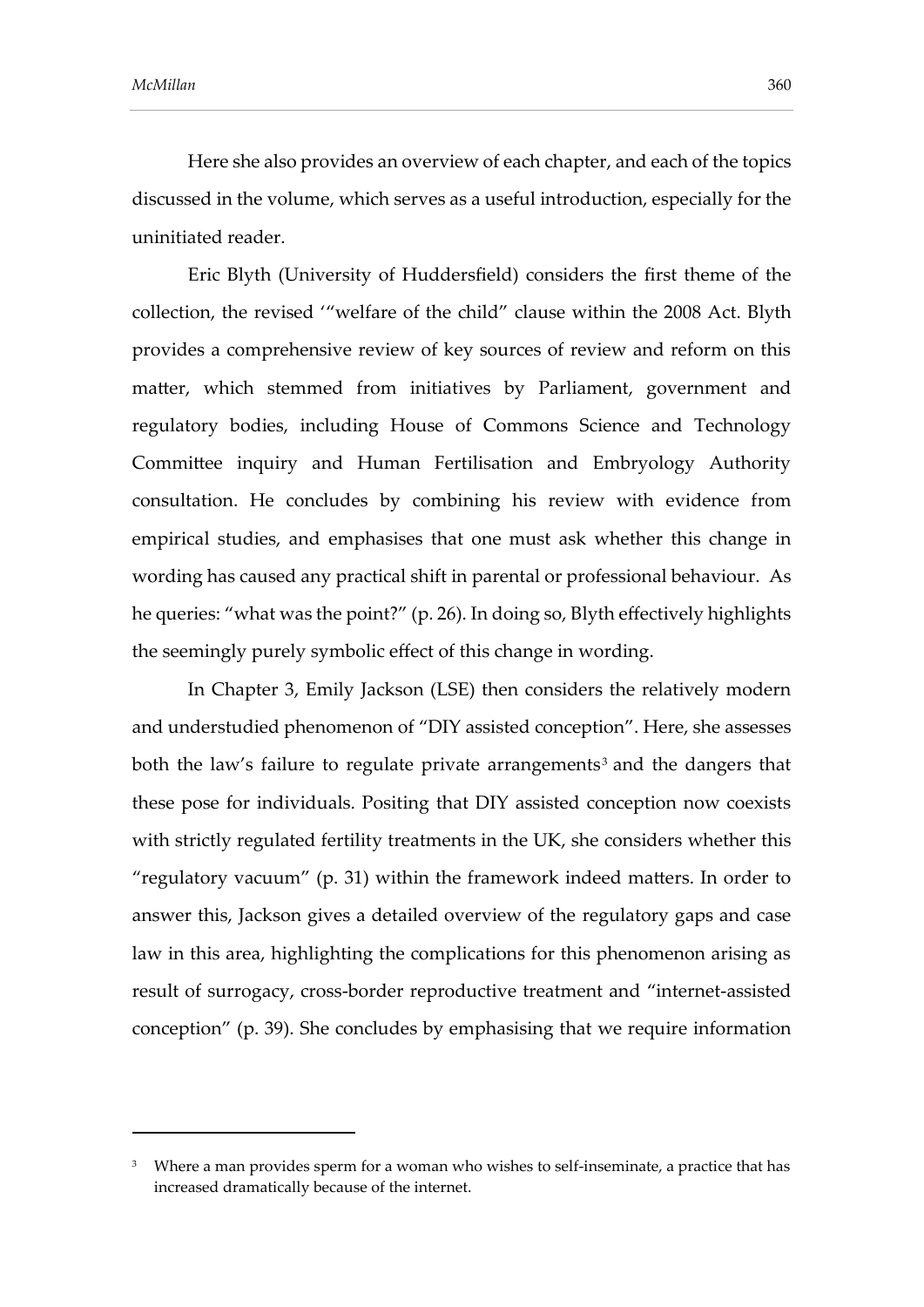-

Here she also provides an overview of each chapter, and each of the topics discussed in the volume, which serves as a useful introduction, especially for the uninitiated reader.

Eric Blyth (University of Huddersfield) considers the first theme of the collection, the revised '"welfare of the child" clause within the 2008 Act. Blyth provides a comprehensive review of key sources of review and reform on this matter, which stemmed from initiatives by Parliament, government and regulatory bodies, including House of Commons Science and Technology Committee inquiry and Human Fertilisation and Embryology Authority consultation. He concludes by combining his review with evidence from empirical studies, and emphasises that one must ask whether this change in wording has caused any practical shift in parental or professional behaviour. As he queries: "what was the point?" (p. 26). In doing so, Blyth effectively highlights the seemingly purely symbolic effect of this change in wording.

In Chapter 3, Emily Jackson (LSE) then considers the relatively modern and understudied phenomenon of "DIY assisted conception". Here, she assesses both the law's failure to regulate private arrangements $^3$  and the dangers that these pose for individuals. Positing that DIY assisted conception now coexists with strictly regulated fertility treatments in the UK, she considers whether this "regulatory vacuum" (p. 31) within the framework indeed matters. In order to answer this, Jackson gives a detailed overview of the regulatory gaps and case law in this area, highlighting the complications for this phenomenon arising as result of surrogacy, cross-border reproductive treatment and "internet-assisted conception" (p. 39). She concludes by emphasising that we require information

<sup>&</sup>lt;sup>3</sup> Where a man provides sperm for a woman who wishes to self-inseminate, a practice that has increased dramatically because of the internet.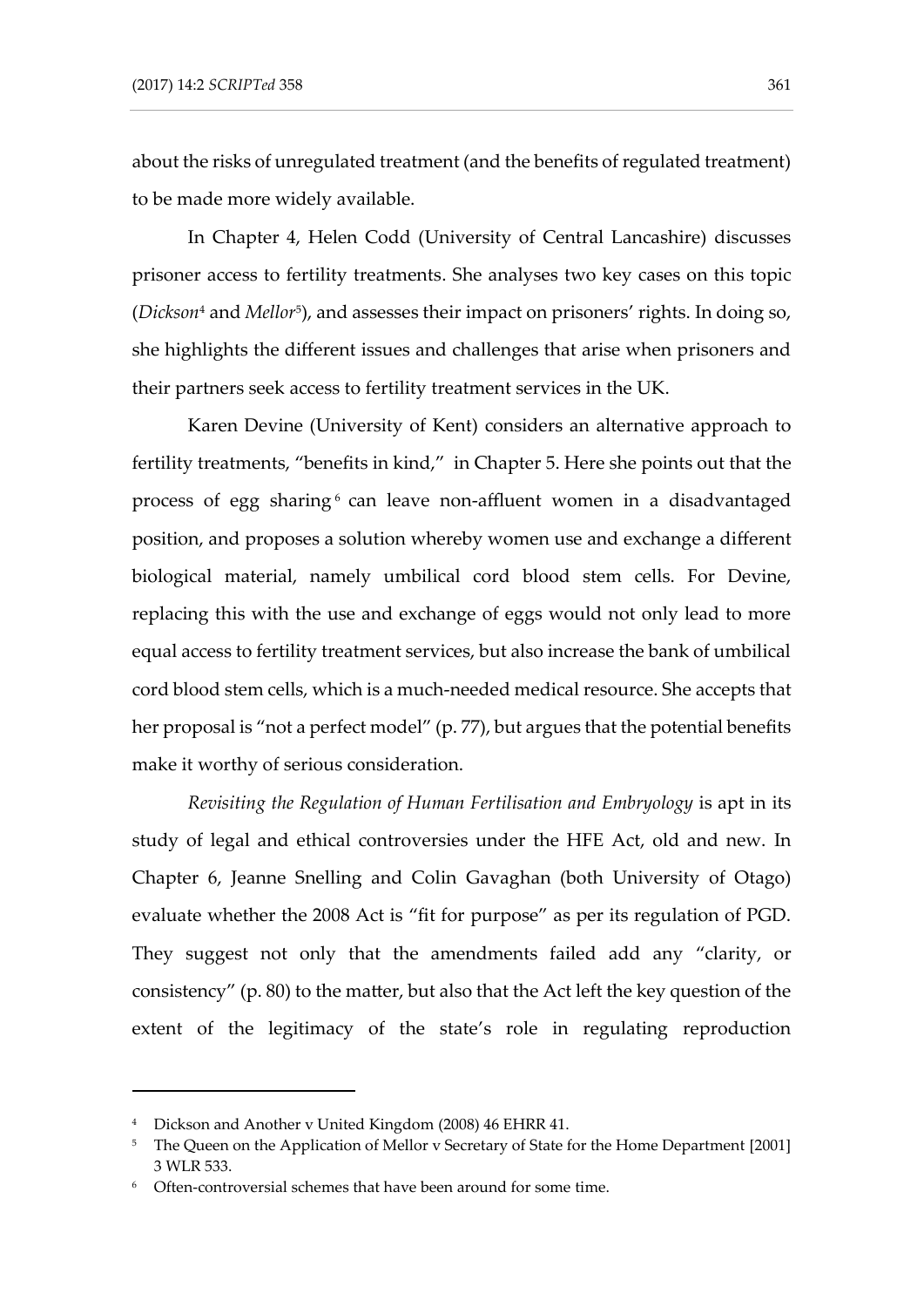about the risks of unregulated treatment (and the benefits of regulated treatment) to be made more widely available.

In Chapter 4, Helen Codd (University of Central Lancashire) discusses prisoner access to fertility treatments. She analyses two key cases on this topic (*Dickson*<sup>4</sup> and *Mellor*<sup>5</sup> ), and assesses their impact on prisoners' rights. In doing so, she highlights the different issues and challenges that arise when prisoners and their partners seek access to fertility treatment services in the UK.

Karen Devine (University of Kent) considers an alternative approach to fertility treatments, "benefits in kind," in Chapter 5. Here she points out that the process of egg sharing<sub>6</sub> can leave non-affluent women in a disadvantaged position, and proposes a solution whereby women use and exchange a different biological material, namely umbilical cord blood stem cells. For Devine, replacing this with the use and exchange of eggs would not only lead to more equal access to fertility treatment services, but also increase the bank of umbilical cord blood stem cells, which is a much-needed medical resource. She accepts that her proposal is "not a perfect model" (p. 77), but argues that the potential benefits make it worthy of serious consideration.

*Revisiting the Regulation of Human Fertilisation and Embryology* is apt in its study of legal and ethical controversies under the HFE Act, old and new. In Chapter 6, Jeanne Snelling and Colin Gavaghan (both University of Otago) evaluate whether the 2008 Act is "fit for purpose" as per its regulation of PGD. They suggest not only that the amendments failed add any "clarity, or consistency" (p. 80) to the matter, but also that the Act left the key question of the extent of the legitimacy of the state's role in regulating reproduction

-

<sup>4</sup> Dickson and Another v United Kingdom (2008) 46 EHRR 41.

<sup>&</sup>lt;sup>5</sup> The Queen on the Application of Mellor v Secretary of State for the Home Department [2001] 3 WLR 533.

<sup>6</sup> Often-controversial schemes that have been around for some time.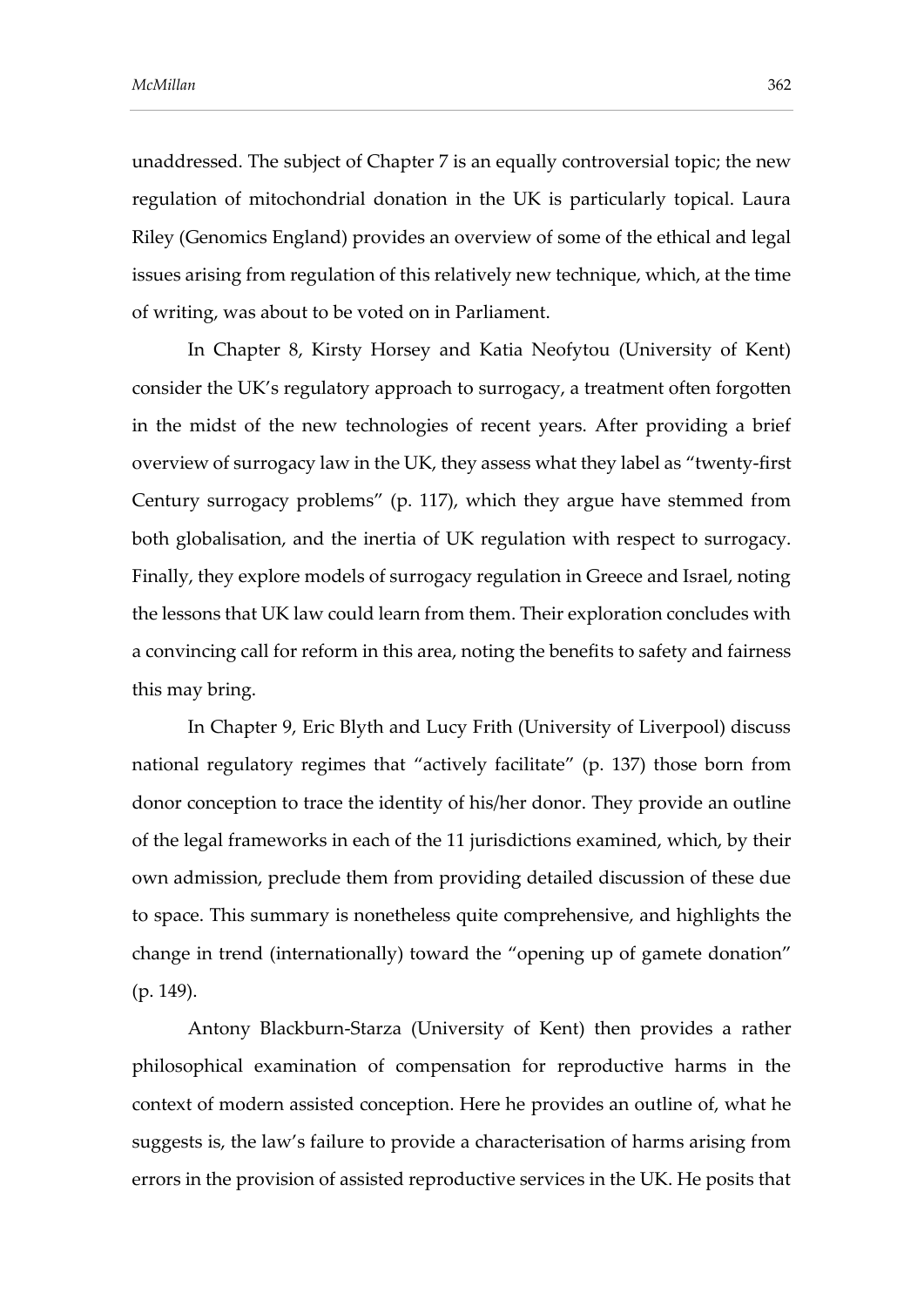unaddressed. The subject of Chapter 7 is an equally controversial topic; the new regulation of mitochondrial donation in the UK is particularly topical. Laura Riley (Genomics England) provides an overview of some of the ethical and legal issues arising from regulation of this relatively new technique, which, at the time of writing, was about to be voted on in Parliament.

In Chapter 8, Kirsty Horsey and Katia Neofytou (University of Kent) consider the UK's regulatory approach to surrogacy, a treatment often forgotten in the midst of the new technologies of recent years. After providing a brief overview of surrogacy law in the UK, they assess what they label as "twenty-first Century surrogacy problems" (p. 117), which they argue have stemmed from both globalisation, and the inertia of UK regulation with respect to surrogacy. Finally, they explore models of surrogacy regulation in Greece and Israel, noting the lessons that UK law could learn from them. Their exploration concludes with a convincing call for reform in this area, noting the benefits to safety and fairness this may bring.

In Chapter 9, Eric Blyth and Lucy Frith (University of Liverpool) discuss national regulatory regimes that "actively facilitate" (p. 137) those born from donor conception to trace the identity of his/her donor. They provide an outline of the legal frameworks in each of the 11 jurisdictions examined, which, by their own admission, preclude them from providing detailed discussion of these due to space. This summary is nonetheless quite comprehensive, and highlights the change in trend (internationally) toward the "opening up of gamete donation" (p. 149).

Antony Blackburn-Starza (University of Kent) then provides a rather philosophical examination of compensation for reproductive harms in the context of modern assisted conception. Here he provides an outline of, what he suggests is, the law's failure to provide a characterisation of harms arising from errors in the provision of assisted reproductive services in the UK. He posits that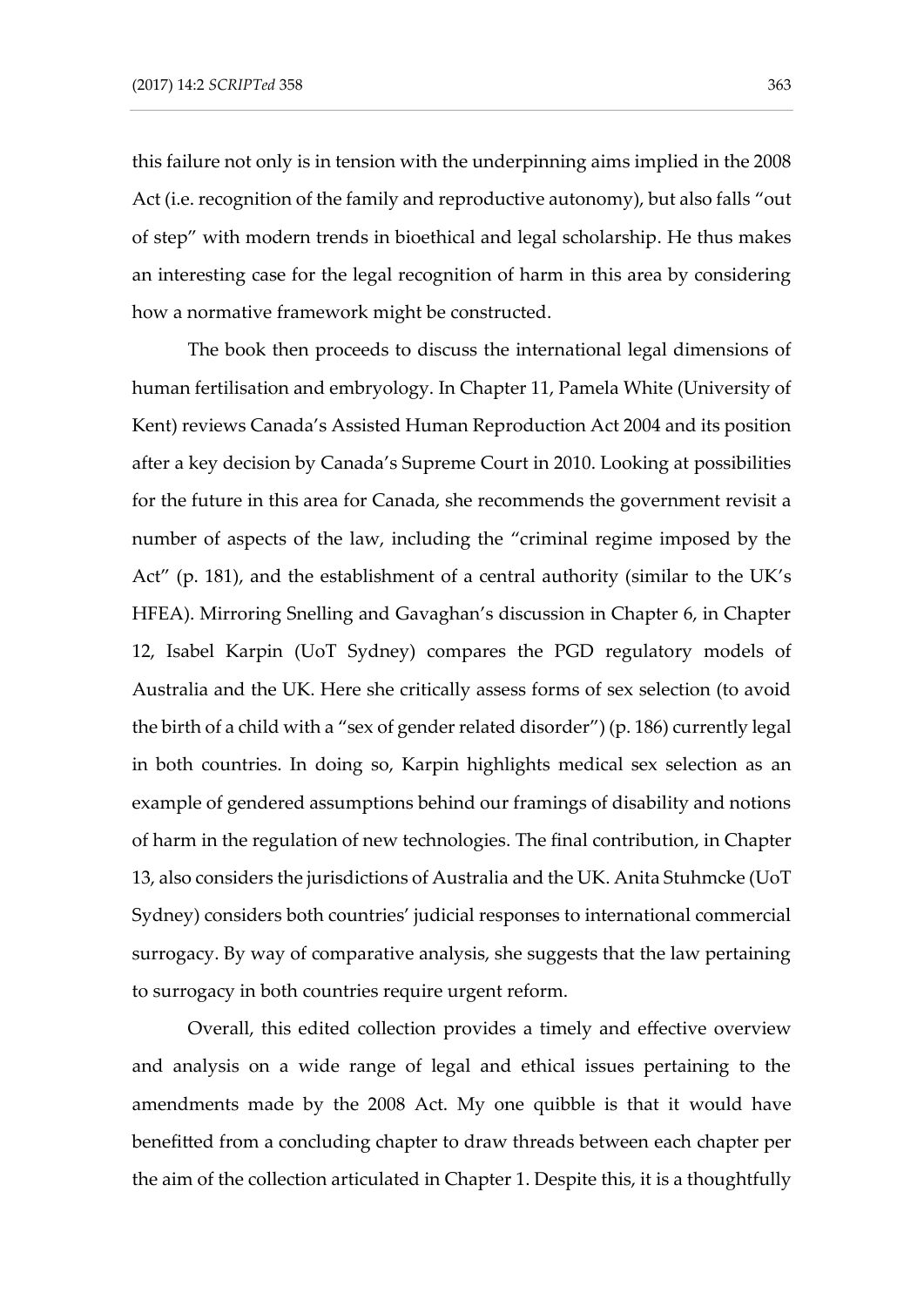this failure not only is in tension with the underpinning aims implied in the 2008 Act (i.e. recognition of the family and reproductive autonomy), but also falls "out of step" with modern trends in bioethical and legal scholarship. He thus makes an interesting case for the legal recognition of harm in this area by considering how a normative framework might be constructed.

The book then proceeds to discuss the international legal dimensions of human fertilisation and embryology. In Chapter 11, Pamela White (University of Kent) reviews Canada's Assisted Human Reproduction Act 2004 and its position after a key decision by Canada's Supreme Court in 2010. Looking at possibilities for the future in this area for Canada, she recommends the government revisit a number of aspects of the law, including the "criminal regime imposed by the Act" (p. 181), and the establishment of a central authority (similar to the UK's HFEA). Mirroring Snelling and Gavaghan's discussion in Chapter 6, in Chapter 12, Isabel Karpin (UoT Sydney) compares the PGD regulatory models of Australia and the UK. Here she critically assess forms of sex selection (to avoid the birth of a child with a "sex of gender related disorder") (p. 186) currently legal in both countries. In doing so, Karpin highlights medical sex selection as an example of gendered assumptions behind our framings of disability and notions of harm in the regulation of new technologies. The final contribution, in Chapter 13, also considers the jurisdictions of Australia and the UK. Anita Stuhmcke (UoT Sydney) considers both countries' judicial responses to international commercial surrogacy. By way of comparative analysis, she suggests that the law pertaining to surrogacy in both countries require urgent reform.

Overall, this edited collection provides a timely and effective overview and analysis on a wide range of legal and ethical issues pertaining to the amendments made by the 2008 Act. My one quibble is that it would have benefitted from a concluding chapter to draw threads between each chapter per the aim of the collection articulated in Chapter 1. Despite this, it is a thoughtfully